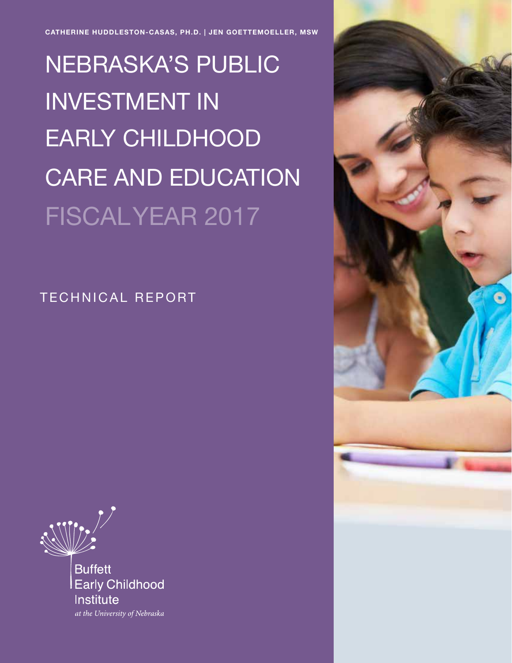CATHERINE HUDDLESTON-CASAS, PH.D. | JEN GOETTEMOELLER, MSW

NEBRASKA'S PUBLIC INVESTMENT IN EARLY CHILDHOOD CARE AND EDUCATION FISCAL YEAR 2017

TECHNICAL REPORT



Nebraska's Public Investment in Early Childhood Care and Education: Fiscal Year 2017 1

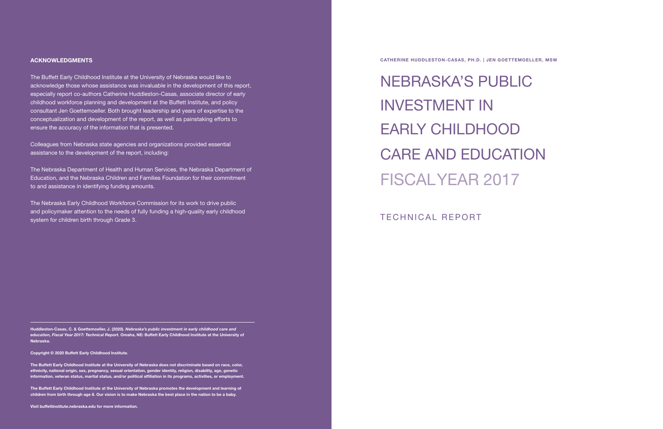2 Nebraska's Public Investment in Early Childhood Care and Education: Fiscal Year 2017 Nebraska's Public Investment in Early Childhood Care and Education: Fiscal Year 2017 3

Huddleston-Casas, C. & Goettemoeller, J. (2020). *Nebraska's public investment in early childhood care and education, Fiscal Year 2017: Technical Report.* Omaha, NE: Buffett Early Childhood Institute at the University of Nebraska.

Copyright © 2020 Buffett Early Childhood Institute.

The Buffett Early Childhood Institute at the University of Nebraska does not discriminate based on race, color, ethnicity, national origin, sex, pregnancy, sexual orientation, gender identity, religion, disability, age, genetic information, veteran status, marital status, and/or political affiliation in its programs, activities, or employment.

The Buffett Early Childhood Institute at the University of Nebraska promotes the development and learning of children from birth through age 8. Our vision is to make Nebraska the best place in the nation to be a baby.

Visit buffettinstitute.nebraska.edu for more information.

#### ACKNOWLEDGMENTS

The Buffett Early Childhood Institute at the University of Nebraska would like to acknowledge those whose assistance was invaluable in the development of this report, especially report co-authors Catherine Huddleston-Casas, associate director of early childhood workforce planning and development at the Buffett Institute, and policy consultant Jen Goettemoeller. Both brought leadership and years of expertise to the conceptualization and development of the report, as well as painstaking efforts to ensure the accuracy of the information that is presented.

Colleagues from Nebraska state agencies and organizations provided essential assistance to the development of the report, including:

The Nebraska Department of Health and Human Services, the Nebraska Department of Education, and the Nebraska Children and Families Foundation for their commitment to and assistance in identifying funding amounts.

The Nebraska Early Childhood Workforce Commission for its work to drive public and policymaker attention to the needs of fully funding a high-quality early childhood system for children birth through Grade 3.

NEBRASKA'S PUBLIC INVESTMENT IN EARLY CHILDHOOD CARE AND EDUCATION FISCAL YEAR 2017

CATHERINE HUDDLESTON-CASAS, PH.D. | JEN GOETTEMOELLER, MSW

TECHNICAL REPORT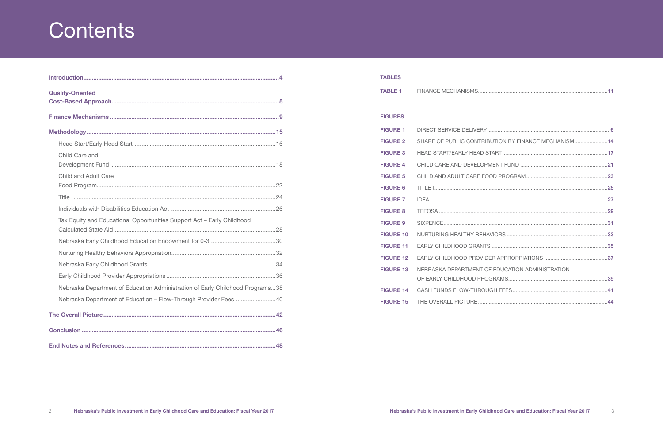# **Contents**

| <b>Quality-Oriented</b>                                                       |  |
|-------------------------------------------------------------------------------|--|
|                                                                               |  |
|                                                                               |  |
|                                                                               |  |
| Child Care and                                                                |  |
| Child and Adult Care                                                          |  |
|                                                                               |  |
|                                                                               |  |
| Tax Equity and Educational Opportunities Support Act - Early Childhood        |  |
|                                                                               |  |
|                                                                               |  |
|                                                                               |  |
|                                                                               |  |
| Nebraska Department of Education Administration of Early Childhood Programs38 |  |
| Nebraska Department of Education - Flow-Through Provider Fees 40              |  |
|                                                                               |  |
|                                                                               |  |
|                                                                               |  |

| NEBRASKA DEPARTMENT OF EDUCATION ADMINISTRATION |                                                     |
|-------------------------------------------------|-----------------------------------------------------|
|                                                 |                                                     |
|                                                 |                                                     |
|                                                 |                                                     |
|                                                 | SHARE OF PUBLIC CONTRIBUTION BY FINANCE MECHANISM14 |

| <b>TABLES</b>    |                                                  |
|------------------|--------------------------------------------------|
|                  |                                                  |
|                  |                                                  |
| <b>FIGURES</b>   |                                                  |
| <b>FIGURE 1</b>  |                                                  |
| <b>FIGURE 2</b>  | SHARE OF PUBLIC CONTRIBUTION BY FINANCE MECHANIS |
| <b>FIGURE 3</b>  |                                                  |
| <b>FIGURE 4</b>  |                                                  |
| <b>FIGURE 5</b>  |                                                  |
| <b>FIGURE 6</b>  |                                                  |
| <b>FIGURE 7</b>  |                                                  |
| <b>FIGURE 8</b>  |                                                  |
| <b>FIGURE 9</b>  |                                                  |
| <b>FIGURE 10</b> |                                                  |
| <b>FIGURE 11</b> |                                                  |
| <b>FIGURE 12</b> | EARLY CHILDHOOD PROVIDER APPROPRIATIONS          |
| <b>FIGURE 13</b> | NEBRASKA DEPARTMENT OF EDUCATION ADMINISTRATION  |
| <b>FIGURE 14</b> |                                                  |
|                  |                                                  |
|                  |                                                  |

| <b>TABLE 1</b> |  |
|----------------|--|
|                |  |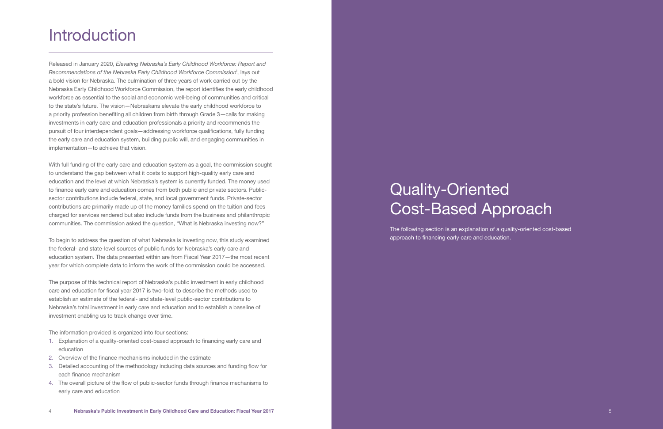# Quality-Oriented Cost-Based Approach

The following section is an explanation of a quality-oriented cost-based approach to financing early care and education.

# **Introduction**

Released in January 2020, *Elevating Nebraska's Early Childhood Workforce: Report and Recommendations of the Nebraska Early Childhood Workforce Commission*<sup>i</sup> , lays out a bold vision for Nebraska. The culmination of three years of work carried out by the Nebraska Early Childhood Workforce Commission, the report identifies the early childhood workforce as essential to the social and economic well-being of communities and critical to the state's future. The vision—Nebraskans elevate the early childhood workforce to a priority profession benefiting all children from birth through Grade 3—calls for making investments in early care and education professionals a priority and recommends the pursuit of four interdependent goals—addressing workforce qualifications, fully funding the early care and education system, building public will, and engaging communities in implementation—to achieve that vision.

With full funding of the early care and education system as a goal, the commission sought to understand the gap between what it costs to support high-quality early care and education and the level at which Nebraska's system is currently funded. The money used to finance early care and education comes from both public and private sectors. Publicsector contributions include federal, state, and local government funds. Private-sector contributions are primarily made up of the money families spend on the tuition and fees charged for services rendered but also include funds from the business and philanthropic communities. The commission asked the question, "What is Nebraska investing now?"

To begin to address the question of what Nebraska is investing now, this study examined the federal- and state-level sources of public funds for Nebraska's early care and education system. The data presented within are from Fiscal Year 2017—the most recent year for which complete data to inform the work of the commission could be accessed.

The purpose of this technical report of Nebraska's public investment in early childhood care and education for fiscal year 2017 is two-fold: to describe the methods used to establish an estimate of the federal- and state-level public-sector contributions to Nebraska's total investment in early care and education and to establish a baseline of investment enabling us to track change over time.

The information provided is organized into four sections:

- 1. Explanation of a quality-oriented cost-based approach to financing early care and education
- 2. Overview of the finance mechanisms included in the estimate
- 3. Detailed accounting of the methodology including data sources and funding flow for each finance mechanism
- 4. The overall picture of the flow of public-sector funds through finance mechanisms to early care and education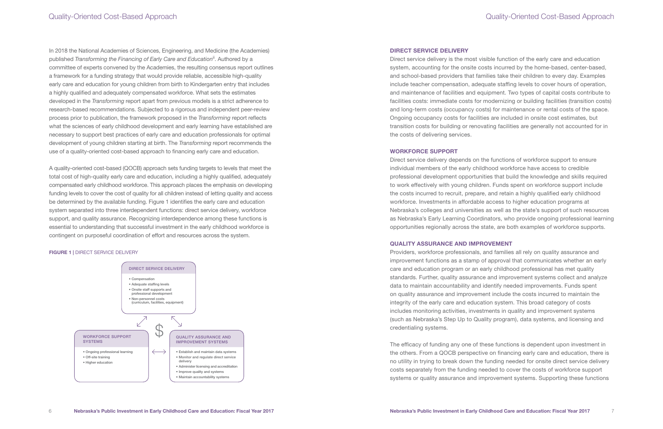In 2018 the National Academies of Sciences, Engineering, and Medicine (the Academies) published *Transforming the Financing of Early Care and Education*ii. Authored by a committee of experts convened by the Academies, the resulting consensus report outlines a framework for a funding strategy that would provide reliable, accessible high-quality early care and education for young children from birth to Kindergarten entry that includes a highly qualified and adequately compensated workforce. What sets the estimates developed in the *Transforming* report apart from previous models is a strict adherence to research-based recommendations. Subjected to a rigorous and independent peer-review process prior to publication, the framework proposed in the *Transforming* report reflects what the sciences of early childhood development and early learning have established are necessary to support best practices of early care and education professionals for optimal development of young children starting at birth. The *Transforming* report recommends the use of a quality-oriented cost-based approach to financing early care and education.

A quality-oriented cost-based (QOCB) approach sets funding targets to levels that meet the total cost of high-quality early care and education, including a highly qualified, adequately compensated early childhood workforce. This approach places the emphasis on developing funding levels to cover the cost of quality for all children instead of letting quality and access be determined by the available funding. Figure 1 identifies the early care and education system separated into three interdependent functions: direct service delivery, workforce support, and quality assurance. Recognizing interdependence among these functions is essential to understanding that successful investment in the early childhood workforce is contingent on purposeful coordination of effort and resources across the system.

#### FIGURE 1 | DIRECT SERVICE DELIVERY



### Quality-Oriented Cost-Based Approach

#### DIRECT SERVICE DELIVERY

Direct service delivery is the most visible function of the early care and education system, accounting for the onsite costs incurred by the home-based, center-based, and school-based providers that families take their children to every day. Examples include teacher compensation, adequate staffing levels to cover hours of operation, and maintenance of facilities and equipment. Two types of capital costs contribute to facilities costs: immediate costs for modernizing or building facilities (transition costs) and long-term costs (occupancy costs) for maintenance or rental costs of the space. Ongoing occupancy costs for facilities are included in onsite cost estimates, but transition costs for building or renovating facilities are generally not accounted for in the costs of delivering services.

#### WORKFORCE SUPPORT

Direct service delivery depends on the functions of workforce support to ensure individual members of the early childhood workforce have access to credible professional development opportunities that build the knowledge and skills required to work effectively with young children. Funds spent on workforce support include the costs incurred to recruit, prepare, and retain a highly qualified early childhood workforce. Investments in affordable access to higher education programs at Nebraska's colleges and universities as well as the state's support of such resources as Nebraska's Early Learning Coordinators, who provide ongoing professional learning opportunities regionally across the state, are both examples of workforce supports.

#### QUALITY ASSURANCE AND IMPROVEMENT

Providers, workforce professionals, and families all rely on quality assurance and improvement functions as a stamp of approval that communicates whether an early care and education program or an early childhood professional has met quality standards. Further, quality assurance and improvement systems collect and analyze data to maintain accountability and identify needed improvements. Funds spent on quality assurance and improvement include the costs incurred to maintain the integrity of the early care and education system. This broad category of costs includes monitoring activities, investments in quality and improvement systems (such as Nebraska's Step Up to Quality program), data systems, and licensing and credentialing systems.

The efficacy of funding any one of these functions is dependent upon investment in the others. From a QOCB perspective on financing early care and education, there is no utility in trying to break down the funding needed for onsite direct service delivery costs separately from the funding needed to cover the costs of workforce support systems or quality assurance and improvement systems. Supporting these functions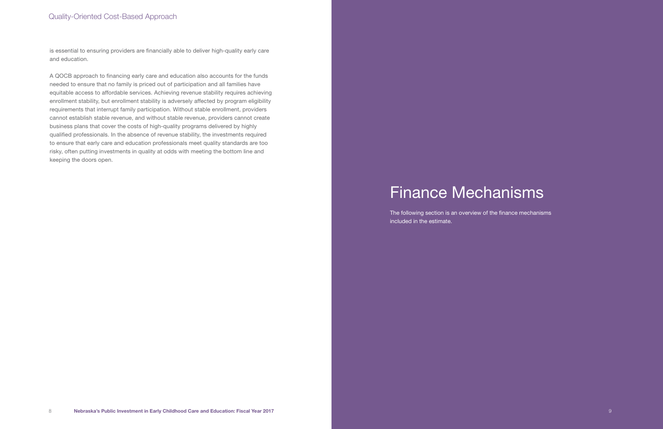### Quality-Oriented Cost-Based Approach

is essential to ensuring providers are financially able to deliver high-quality early care and education.

A QOCB approach to financing early care and education also accounts for the funds needed to ensure that no family is priced out of participation and all families have equitable access to affordable services. Achieving revenue stability requires achieving enrollment stability, but enrollment stability is adversely affected by program eligibility requirements that interrupt family participation. Without stable enrollment, providers cannot establish stable revenue, and without stable revenue, providers cannot create business plans that cover the costs of high-quality programs delivered by highly qualified professionals. In the absence of revenue stability, the investments required to ensure that early care and education professionals meet quality standards are too risky, often putting investments in quality at odds with meeting the bottom line and keeping the doors open.

# Finance Mechanisms

The following section is an overview of the finance mechanisms included in the estimate.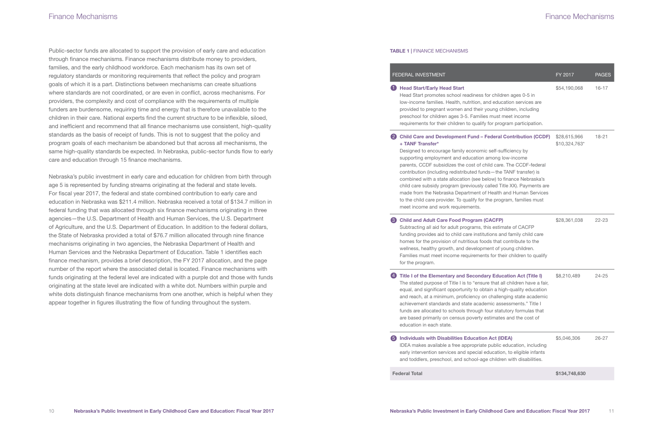Public-sector funds are allocated to support the provision of early care and education through finance mechanisms. Finance mechanisms distribute money to providers, families, and the early childhood workforce. Each mechanism has its own set of regulatory standards or monitoring requirements that reflect the policy and program goals of which it is a part. Distinctions between mechanisms can create situations where standards are not coordinated, or are even in conflict, across mechanisms. For providers, the complexity and cost of compliance with the requirements of multiple funders are burdensome, requiring time and energy that is therefore unavailable to the children in their care. National experts find the current structure to be inflexible, siloed, and inefficient and recommend that all finance mechanisms use consistent, high-quality standards as the basis of receipt of funds. This is not to suggest that the policy and program goals of each mechanism be abandoned but that across all mechanisms, the same high-quality standards be expected. In Nebraska, public-sector funds flow to early care and education through 15 finance mechanisms.

#### 2 Child Care and Development Fund - Federal Contribution (CCDF) + TANF Transfer\*

Designed to encourage family economic supporting employment and education an parents, CCDF subsidizes the cost of child contribution (including redistributed funds combined with a state allocation (see belchild care subsidy program (previously called Title X made from the Nebraska Department of to the child care provider. To qualify for the meet income and work requirements.

#### **6** Child and Adult Care Food Program (CACFP)

Nebraska's public investment in early care and education for children from birth through age 5 is represented by funding streams originating at the federal and state levels. For fiscal year 2017, the federal and state combined contribution to early care and education in Nebraska was \$211.4 million. Nebraska received a total of \$134.7 million in federal funding that was allocated through six finance mechanisms originating in three agencies—the U.S. Department of Health and Human Services, the U.S. Department of Agriculture, and the U.S. Department of Education. In addition to the federal dollars, the State of Nebraska provided a total of \$76.7 million allocated through nine finance mechanisms originating in two agencies, the Nebraska Department of Health and Human Services and the Nebraska Department of Education. Table 1 identifies each finance mechanism, provides a brief description, the FY 2017 allocation, and the page number of the report where the associated detail is located. Finance mechanisms with funds originating at the federal level are indicated with a purple dot and those with funds originating at the state level are indicated with a white dot. Numbers within purple and white dots distinguish finance mechanisms from one another, which is helpful when they appear together in figures illustrating the flow of funding throughout the system.

Subtracting all aid for adult programs, this funding provides aid to child care instituti homes for the provision of nutritious food wellness, healthy growth, and development Families must meet income requirements for the program.

#### 4 Title I of the Elementary and Secondary Education Act (Title I)

The stated purpose of Title I is to "ensure equal, and significant opportunity to obtain and reach, at a minimum, proficiency on achievement standards and state acader funds are allocated to schools through for are based primarily on census poverty es education in each state.

#### 5 Individuals with Disabilities Education Act (IDEA) IDEA makes available a free appropriate early intervention services and special ed and toddlers, preschool, and school-age

**Federal Total** 

## Finance Mechanisms

#### TABLE 1 | FINANCE MECHANISMS

#### FEDERAL INVESTMENT

#### **Head Start/Early Head Start**

Head Start promotes school readiness fo low-income families. Health, nutrition, and provided to pregnant women and their you preschool for children ages 3-5. Families requirements for their children to qualify

|                                                                                                                                                                                                                                                              | FY 2017                       | <b>PAGES</b> |
|--------------------------------------------------------------------------------------------------------------------------------------------------------------------------------------------------------------------------------------------------------------|-------------------------------|--------------|
| or children ages 0-5 in<br>d education services are<br>bung children, including<br>must meet income<br>for program participation.                                                                                                                            | \$54,190,068                  | $16 - 17$    |
| ederal Contribution (CCDF)<br>self-sufficiency by<br>mong low-income<br>ild care. The CCDF-federal<br>s-the TANF transfer) is<br>ow) to finance Nebraska's<br>alled Title XX). Payments are<br><b>Health and Human Services</b><br>ne program, families must | \$28,615,966<br>\$10,324,763* | 18-21        |
| <b>ACFP)</b><br>is estimate of CACFP<br>ions and family child care<br>Is that contribute to the<br>ent of young children.<br>s for their children to qualify                                                                                                 | \$28,361,038                  | 22-23        |
| y Education Act (Title I)<br>e that all children have a fair,<br>ain a high-quality education<br>challenging state academic<br>nic assessments." Title I<br>our statutory formulas that<br>stimates and the cost of                                          | \$8,210,489                   | 24-25        |
| <b>Act (IDEA)</b><br>public education, including<br>lucation, to eligible infants<br>children with disabilities.                                                                                                                                             | \$5,046,306                   | 26-27        |
|                                                                                                                                                                                                                                                              | \$134,748,630                 |              |

### Finance Mechanisms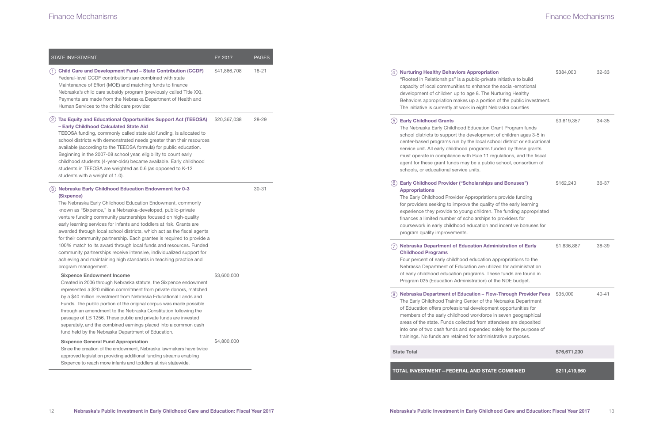|     | <b>STATE INVESTMENT</b>                                                                                                                                                                                                                                                                                                                                                                                                                                                                                                                                                                                                                                                                                                                        | FY 2017      | PAGES |
|-----|------------------------------------------------------------------------------------------------------------------------------------------------------------------------------------------------------------------------------------------------------------------------------------------------------------------------------------------------------------------------------------------------------------------------------------------------------------------------------------------------------------------------------------------------------------------------------------------------------------------------------------------------------------------------------------------------------------------------------------------------|--------------|-------|
| (1) | <b>Child Care and Development Fund - State Contribution (CCDF)</b><br>Federal-level CCDF contributions are combined with state<br>Maintenance of Effort (MOE) and matching funds to finance<br>Nebraska's child care subsidy program (previously called Title XX).<br>Payments are made from the Nebraska Department of Health and<br>Human Services to the child care provider.                                                                                                                                                                                                                                                                                                                                                               | \$41,866,708 | 18-21 |
| (2) | <b>Tax Equity and Educational Opportunities Support Act (TEEOSA)</b><br>- Early Childhood Calculated State Aid<br>TEEOSA funding, commonly called state aid funding, is allocated to<br>school districts with demonstrated needs greater than their resources<br>available (according to the TEEOSA formula) for public education.<br>Beginning in the 2007-08 school year, eligibility to count early<br>childhood students (4-year-olds) became available. Early childhood<br>students in TEEOSA are weighted as 0.6 (as opposed to K-12<br>students with a weight of 1.0).                                                                                                                                                                  | \$20,367,038 | 28-29 |
| (3) | <b>Nebraska Early Childhood Education Endowment for 0-3</b><br>(Sixpence)<br>The Nebraska Early Childhood Education Endowment, commonly<br>known as "Sixpence," is a Nebraska-developed, public-private<br>venture funding community partnerships focused on high-quality<br>early learning services for infants and toddlers at risk. Grants are<br>awarded through local school districts, which act as the fiscal agents<br>for their community partnership. Each grantee is required to provide a<br>100% match to its award through local funds and resources. Funded<br>community partnerships receive intensive, individualized support for<br>achieving and maintaining high standards in teaching practice and<br>program management. |              | 30-31 |
|     | <b>Sixpence Endowment Income</b><br>Created in 2006 through Nebraska statute, the Sixpence endowment<br>represented a \$20 million commitment from private donors, matched<br>by a \$40 million investment from Nebraska Educational Lands and<br>Funds. The public portion of the original corpus was made possible<br>through an amendment to the Nebraska Constitution following the<br>passage of LB 1256. These public and private funds are invested<br>separately, and the combined earnings placed into a common cash<br>fund held by the Nebraska Department of Education.                                                                                                                                                            | \$3,600,000  |       |
|     | <b>Sixpence General Fund Appropriation</b><br>Since the creation of the endowment, Nebraska lawmakers have twice<br>approved legislation providing additional funding streams enabling<br>Sixpence to reach more infants and toddlers at risk statewide.                                                                                                                                                                                                                                                                                                                                                                                                                                                                                       | \$4,800,000  |       |

#### 4) Nurturing Healthy Behaviors Appropriation

"Rooted in Relationships" is a public-priv capacity of local communities to enhance development of children up to age 8. The Behaviors appropriation makes up a port The initiative is currently at work in eight

#### [5] Early Childhood Grants

The Nebraska Early Childhood Education school districts to support the development center-based programs run by the local service unit. All early childhood programs must operate in compliance with Rule 11 agent for these grant funds may be a pul schools, or educational service units.

The Early Childhood Provider Appropriati for providers seeking to improve the qual experience they provide to young childre finances a limited number of scholarships coursework in early childhood education program quality improvements.

#### $\widehat{\mathcal{D}}$  Nebraska Department of Education Administration of Early Childhood Programs

Four percent of early childhood education Nebraska Department of Education are u of early childhood education programs. Program 025 (Education Administration)

#### 8) Nebraska Department of Education - Flow-Through Provider Fees

The Early Childhood Training Center of th of Education offers professional developr members of the early childhood workford areas of the state. Funds collected from into one of two cash funds and expended trainings. No funds are retained for admin

#### **State Total**

TOTAL INVESTMENT-FEDERAL AND ST

#### Early Childhood Provider ("Scholarships and Bonuses") 6 Appropriations

| ation<br>vate initiative to build<br>e the social-emotional<br><b>B</b> Nurturing Healthy<br>tion of the public investment.<br>Nebraska counties                                                   | \$384,000     | 32-33 |
|----------------------------------------------------------------------------------------------------------------------------------------------------------------------------------------------------|---------------|-------|
| n Grant Program funds<br>ent of children ages 3-5 in<br>school district or educational<br>s funded by these grants<br>regulations, and the fiscal<br>blic school, consortium of                    | \$3,619,357   | 34-35 |
| ps and Bonuses")<br>ions provide funding<br>lity of the early learning<br>In. The funding appropriated<br>s to providers for<br>and incentive bonuses for                                          | \$162,240     | 36-37 |
| dministration of Early<br>n appropriations to the<br>utilized for administration<br>These funds are found in<br>of the NDE budget.                                                                 | \$1,836,887   | 38-39 |
| <b>Iow-Through Provider Fees</b><br>ne Nebraska Department<br>ment opportunities for<br>ce in seven geographical<br>attendees are deposited<br>d solely for the purpose of<br>nistrative purposes. | \$35,000      | 40-41 |
|                                                                                                                                                                                                    | \$76,671,230  |       |
| <b>ATE COMBINED</b>                                                                                                                                                                                | \$211,419,860 |       |
|                                                                                                                                                                                                    |               |       |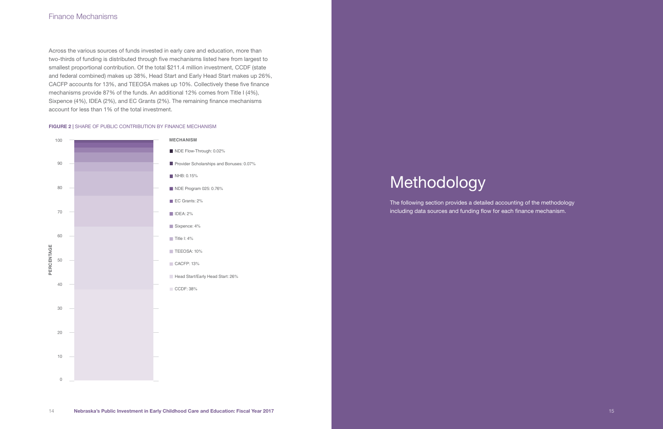### Finance Mechanisms

Across the various sources of funds invested in early care and education, more than two-thirds of funding is distributed through five mechanisms listed here from largest to smallest proportional contribution. Of the total \$211.4 million investment, CCDF (state and federal combined) makes up 38%, Head Start and Early Head Start makes up 26%, CACFP accounts for 13%, and TEEOSA makes up 10%. Collectively these five finance mechanisms provide 87% of the funds. An additional 12% comes from Title I (4%), Sixpence (4%), IDEA (2%), and EC Grants (2%). The remaining finance mechanisms account for less than 1% of the total investment.

#### FIGURE 2 | SHARE OF PUBLIC CONTRIBUTION BY FINANCE MECHANISM



# Methodology

The following section provides a detailed accounting of the methodology including data sources and funding flow for each finance mechanism.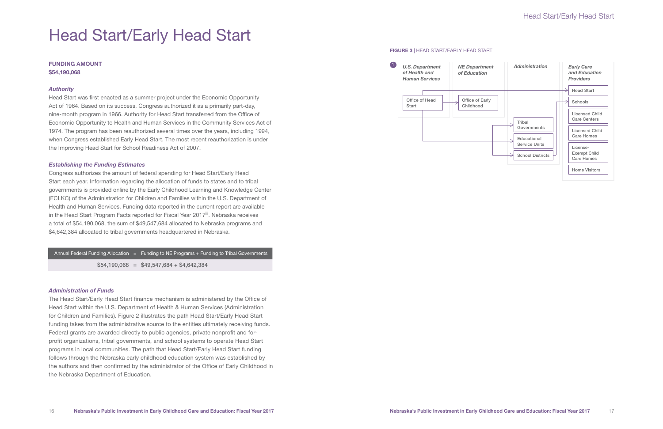# Head Start/Early Head Start

#### FUNDING AMOUNT \$54,190,068

#### *Authority*

Head Start was first enacted as a summer project under the Economic Opportunity Act of 1964. Based on its success, Congress authorized it as a primarily part-day, nine-month program in 1966. Authority for Head Start transferred from the Office of Economic Opportunity to Health and Human Services in the Community Services Act of 1974. The program has been reauthorized several times over the years, including 1994, when Congress established Early Head Start. The most recent reauthorization is under the Improving Head Start for School Readiness Act of 2007.

#### *Establishing the Funding Estimates*

Congress authorizes the amount of federal spending for Head Start/Early Head Start each year. Information regarding the allocation of funds to states and to tribal governments is provided online by the Early Childhood Learning and Knowledge Center (ECLKC) of the Administration for Children and Families within the U.S. Department of Health and Human Services. Funding data reported in the current report are available in the Head Start Program Facts reported for Fiscal Year 2017<sup>iii</sup>. Nebraska receives a total of \$54,190,068, the sum of \$49,547,684 allocated to Nebraska programs and \$4,642,384 allocated to tribal governments headquartered in Nebraska.

#### *Administration of Funds*

The Head Start/Early Head Start finance mechanism is administered by the Office of Head Start within the U.S. Department of Health & Human Services (Administration for Children and Families). Figure 2 illustrates the path Head Start/Early Head Start funding takes from the administrative source to the entities ultimately receiving funds. Federal grants are awarded directly to public agencies, private nonprofit and forprofit organizations, tribal governments, and school systems to operate Head Start programs in local communities. The path that Head Start/Early Head Start funding follows through the Nebraska early childhood education system was established by the authors and then confirmed by the administrator of the Office of Early Childhood in the Nebraska Department of Education.

#### FIGURE 3 | HEAD START/EARLY HEAD START

Annual Federal Funding Allocation = Funding to NE Programs + Funding to Tribal Governments

 $$54,190,068 = $49,547,684 + $4,642,384$ 



# Head Start/Early Head Start

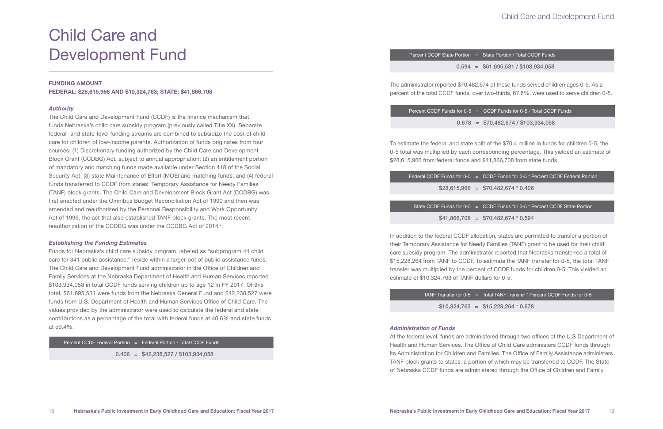# $0.406 = $42,238,527 / $103,934,058$

Percent CCDF Federal Portion = Federal Portion / Total CCDF Funds

The administrator reported \$70,482,674 of these funds served children ages 0-5. As a percent of the total CCDF funds, over two-thirds, 67.8%, were used to serve children 0-5.

| Percent CCDF Funds for $0-5 = C$ |  |
|----------------------------------|--|
| $0.678 = $$                      |  |

To estimate the federal and state split of the \$70.4 million in funds for children 0-5, the 0-5 total was multiplied by each corresponding percentage. This yielded an estimate of \$28,615,966 from federal funds and \$41,866,708 from state funds.

|  | Federal CCDF Funds for $0-5 = C$ |
|--|----------------------------------|
|  | $$28,615,966 = $$                |
|  |                                  |
|  | State CCDF Funds for $0-5 = C$   |
|  | $41.865708 -$                    |

In addition to the federal CCDF allocation, states are permitted to transfer a portion of their Temporary Assistance for Needy Families (TANF) grant to be used for their child care subsidy program. The administrator reported that Nebraska transferred a total of \$15,228,264 from TANF to CCDF. To estimate the TANF transfer for 0-5, the total TANF transfer was multiplied by the percent of CCDF funds for children 0-5. This yielded an estimate of \$10,324,763 of TANF dollars for 0-5.

 $$10,324,763 = $15,228,264 * 0.678$ 

The Child Care and Development Fund (CCDF) is the finance mechanism that funds Nebraska's child care subsidy program (previously called Title XX). Separate federal- and state-level funding streams are combined to subsidize the cost of child care for children of low-income parents. Authorization of funds originates from four sources: (1) Discretionary funding authorized by the Child Care and Development Block Grant (CCDBG) Act, subject to annual appropriation; (2) an entitlement portion of mandatory and matching funds made available under Section 418 of the Social Security Act; (3) state Maintenance of Effort (MOE) and matching funds; and (4) federal funds transferred to CCDF from states' Temporary Assistance for Needy Families (TANF) block grants. The Child Care and Development Block Grant Act (CCDBG) was first enacted under the Omnibus Budget Reconciliation Act of 1990 and then was amended and reauthorized by the Personal Responsibility and Work Opportunity Act of 1996, the act that also established TANF block grants. The most recent reauthorization of the CCDBG was under the CCDBG Act of 2014<sup>iv</sup>.

#### *Administration of Funds*

At the federal level, funds are administered through two offices of the U.S Department of Health and Human Services. The Office of Child Care administers CCDF funds through its Administration for Children and Families. The Office of Family Assistance administers TANF block grants to states, a portion of which may be transferred to CCDF. The State of Nebraska CCDF funds are administered through the Office of Children and Family

0.678 = \$70,482,674 / \$103,934,058

```
CDF Funds for 0-5 * Percent CCDF Federal Portion
```
 $370.482.674 * 0.406$ 

```
CDF Funds for 0-5 * Percent CCDF State Portion
```
 $$41,866,708 = $70,482,674 * 0.594$ 

TANF Transfer for  $0-5$  = Total TANF Transfer  $*$  Percent CCDF Funds for  $0-5$ 

Child Care and Development Fund

#### FUNDING AMOUNT

FEDERAL: \$28,615,966 AND \$10,324,763; STATE: \$41,866,708

#### *Authority*

#### *Establishing the Funding Estimates*

Funds for Nebraska's child care subsidy program, labeled as "subprogram 44 child care for 341 public assistance," reside within a larger pot of public assistance funds. The Child Care and Development Fund administrator in the Office of Children and Family Services at the Nebraska Department of Health and Human Services reported \$103,934,058 in total CCDF funds serving children up to age 12 in FY 2017. Of this total, \$61,695,531 were funds from the Nebraska General Fund and \$42,238,527 were funds from U.S. Department of Health and Human Services Office of Child Care. The values provided by the administrator were used to calculate the federal and state contributions as a percentage of the total with federal funds at 40.6% and state funds at 59.4%.

## Child Care and Development Fund

Percent CCDF State Portion = State Portion / Total CCDF Funds

 $0.594 = $61,695,531 / $103,934,058$ 

```
CDF Funds for 0-5 / Total CCDF Funds
```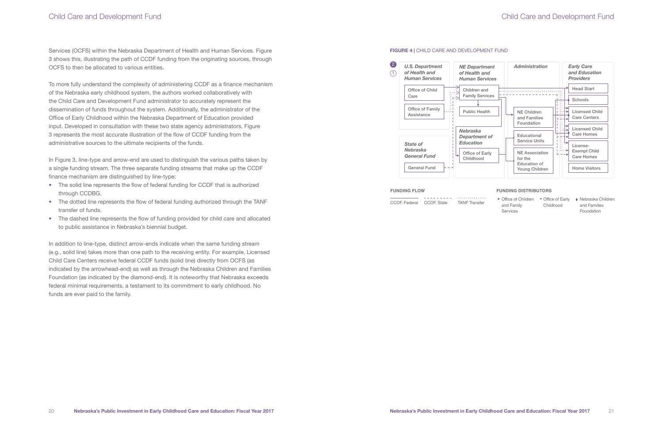Services (OCFS) within the Nebraska Department of Health and Human Services. Figure 3 shows this, illustrating the path of CCDF funding from the originating sources, through OCFS to then be allocated to various entities.

To more fully understand the complexity of administering CCDF as a finance mechanism of the Nebraska early childhood system, the authors worked collaboratively with the Child Care and Development Fund administrator to accurately represent the dissemination of funds throughout the system. Additionally, the administrator of the Office of Early Childhood within the Nebraska Department of Education provided input. Developed in consultation with these two state agency administrators, Figure 3 represents the most accurate illustration of the flow of CCDF funding from the administrative sources to the ultimate recipients of the funds.

In Figure 3, line-type and arrow-end are used to distinguish the various paths taken by a single funding stream. The three separate funding streams that make up the CCDF finance mechanism are distinguished by line-type:

- The solid line represents the flow of federal funding for CCDF that is authorized through CCDBG.
- The dotted line represents the flow of federal funding authorized through the TANF transfer of funds.
- The dashed line represents the flow of funding provided for child care and allocated to public assistance in Nebraska's biennial budget.

In addition to line-type, distinct arrow-ends indicate when the same funding stream (e.g., solid line) takes more than one path to the receiving entity. For example, Licensed Child Care Centers receive federal CCDF funds (solid line) directly from OCFS (as indicated by the arrowhead-end) as well as through the Nebraska Children and Families Foundation (as indicated by the diamond-end). It is noteworthy that Nebraska exceeds federal minimal requirements, a testament to its commitment to early childhood. No funds are ever paid to the family.

#### FIGURE 4 | CHILD CARE AND DEVELOPMENT FUND

### Child Care and Development Fund



Office of Early Office of Children CCDF, Federal CCDF, State TANF Transfer Nebraska Children

#### **FUNDING FLOW FUNDING DISTRIBUTORS**

- and Family Services
- Childhood
- and Families Foundation

# Child Care and Development Fund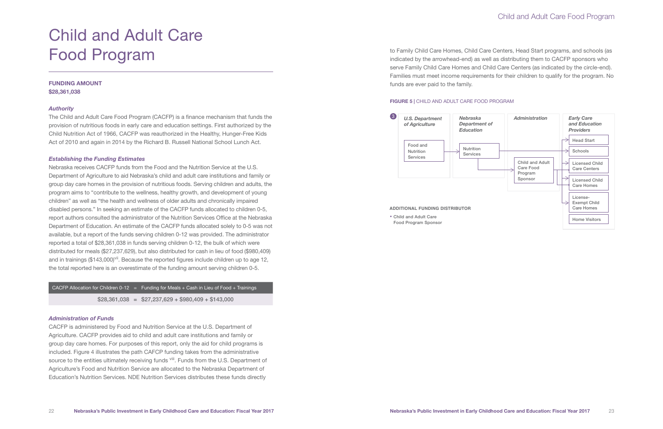# Child and Adult Care Food Program

#### FUNDING AMOUNT \$28,361,038

#### *Authority*

The Child and Adult Care Food Program (CACFP) is a finance mechanism that funds the provision of nutritious foods in early care and education settings. First authorized by the Child Nutrition Act of 1966, CACFP was reauthorized in the Healthy, Hunger-Free Kids Act of 2010 and again in 2014 by the Richard B. Russell National School Lunch Act.

#### *Establishing the Funding Estimates*

Nebraska receives CACFP funds from the Food and the Nutrition Service at the U.S. Department of Agriculture to aid Nebraska's child and adult care institutions and family or group day care homes in the provision of nutritious foods. Serving children and adults, the program aims to "contribute to the wellness, healthy growth, and development of young children" as well as "the health and wellness of older adults and chronically impaired disabled persons." In seeking an estimate of the CACFP funds allocated to children 0-5, report authors consulted the administrator of the Nutrition Services Office at the Nebraska Department of Education. An estimate of the CACFP funds allocated solely to 0-5 was not available, but a report of the funds serving children 0-12 was provided. The administrator reported a total of \$28,361,038 in funds serving children 0-12, the bulk of which were distributed for meals (\$27,237,629), but also distributed for cash in lieu of food (\$980,409) and in trainings  $(\$143,000)$ <sup>vii</sup>. Because the reported figures include children up to age 12, the total reported here is an overestimate of the funding amount serving children 0-5.

### CACFP Allocation for Children 0-12 = Funding for Meals + Cash in Lieu of Food + Trainings  $$28,361,038 = $27,237,629 + $980,409 + $143,000$

#### *Administration of Funds*

CACFP is administered by Food and Nutrition Service at the U.S. Department of Agriculture. CACFP provides aid to child and adult care institutions and family or group day care homes. For purposes of this report, only the aid for child programs is included. Figure 4 illustrates the path CAFCP funding takes from the administrative source to the entities ultimately receiving funds <sup>viii</sup>. Funds from the U.S. Department of Agriculture's Food and Nutrition Service are allocated to the Nebraska Department of Education's Nutrition Services. NDE Nutrition Services distributes these funds directly



#### **ADDITIONAL FUNDING DISTRIBUTOR**

Child and Adult Care

to Family Child Care Homes, Child Care Centers, Head Start programs, and schools (as indicated by the arrowhead-end) as well as distributing them to CACFP sponsors who serve Family Child Care Homes and Child Care Centers (as indicated by the circle-end). Families must meet income requirements for their children to qualify for the program. No funds are ever paid to the family.

#### FIGURE 5 | CHILD AND ADULT CARE FOOD PROGRAM

## Child and Adult Care Food Program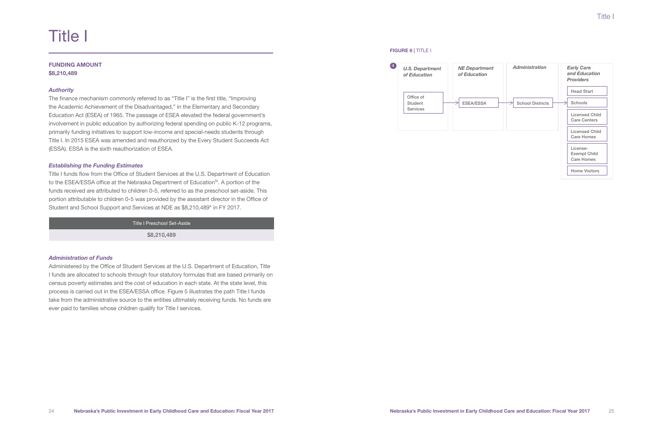# Title I

#### FUNDING AMOUNT \$8,210,489

#### *Authority*

Title I funds flow from the Office of Student Services at the U.S. Department of Education to the ESEA/ESSA office at the Nebraska Department of Education<sup>ix</sup>. A portion of the funds received are attributed to children 0-5, referred to as the preschool set-aside. This portion attributable to children 0-5 was provided by the assistant director in the Office of Student and School Support and Services at NDE as \$8,210,489<sup>x</sup> in FY 2017.

The finance mechanism commonly referred to as "Title I" is the first title, "Improving the Academic Achievement of the Disadvantaged," in the Elementary and Secondary Education Act (ESEA) of 1965. The passage of ESEA elevated the federal government's involvement in public education by authorizing federal spending on public K-12 programs, primarily funding initiatives to support low-income and special-needs students through Title I. In 2015 ESEA was amended and reauthorized by the Every Student Succeeds Act (ESSA). ESSA is the sixth reauthorization of ESEA.

#### *Establishing the Funding Estimates*

#### *Administration of Funds*

Administered by the Office of Student Services at the U.S. Department of Education, Title I funds are allocated to schools through four statutory formulas that are based primarily on census poverty estimates and the cost of education in each state. At the state level, this process is carried out in the ESEA/ESSA office. Figure 5 illustrates the path Title I funds take from the administrative source to the entities ultimately receiving funds. No funds are ever paid to families whose children qualify for Title I services.

### 4 Office of Student Services *of Education U.S. Department of Education*

FIGURE 6 | TITLE I



#### Title I Preschool Set-Aside

\$8,210,489

## Title I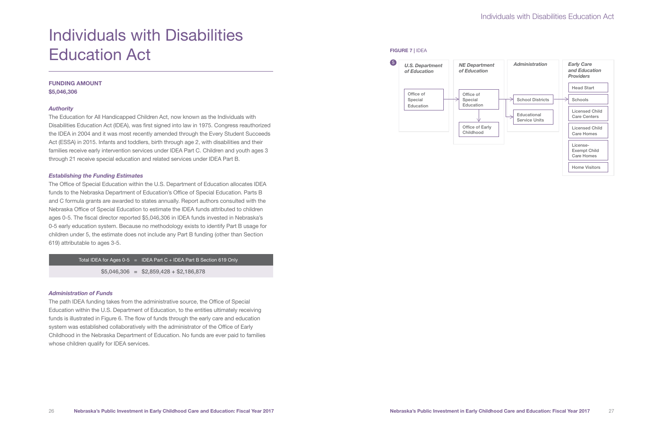# Individuals with Disabilities Education Act

### FUNDING AMOUNT \$5,046,306

#### *Authority*

The Education for All Handicapped Children Act, now known as the Individuals with Disabilities Education Act (IDEA), was first signed into law in 1975. Congress reauthorized the IDEA in 2004 and it was most recently amended through the Every Student Succeeds Act (ESSA) in 2015. Infants and toddlers, birth through age 2, with disabilities and their families receive early intervention services under IDEA Part C. Children and youth ages 3 through 21 receive special education and related services under IDEA Part B.

#### *Establishing the Funding Estimates*



The Office of Special Education within the U.S. Department of Education allocates IDEA funds to the Nebraska Department of Education's Office of Special Education. Parts B and C formula grants are awarded to states annually. Report authors consulted with the Nebraska Office of Special Education to estimate the IDEA funds attributed to children ages 0-5. The fiscal director reported \$5,046,306 in IDEA funds invested in Nebraska's 0-5 early education system. Because no methodology exists to identify Part B usage for children under 5, the estimate does not include any Part B funding (other than Section 619) attributable to ages 3-5.

Total IDEA for Ages  $0-5$  = IDEA Part  $C + IDEA$  Part B Section 619 Only

 $$5,046,306 = $2,859,428 + $2,186,878$ 

#### *Administration of Funds*

The path IDEA funding takes from the administrative source, the Office of Special Education within the U.S. Department of Education, to the entities ultimately receiving funds is illustrated in Figure 6. The flow of funds through the early care and education system was established collaboratively with the administrator of the Office of Early Childhood in the Nebraska Department of Education. No funds are ever paid to families whose children qualify for IDEA services.

# Individuals with Disabilities Education Act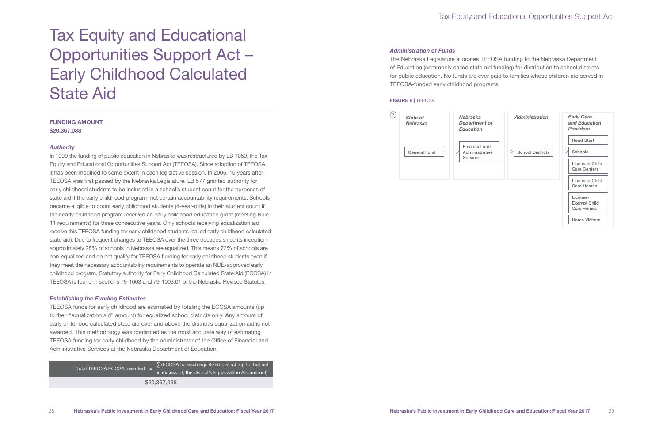Total TEEOSA ECCSA awarded  $=$   $\sum$  (ECCSA for each equalized district, up to, but not in excess of, the district's Equalization Aid amount) \$20,367,038

# Tax Equity and Educational Opportunities Support Act – Early Childhood Calculated State Aid

### FUNDING AMOUNT

\$20,367,038

#### *Authority*

In 1990 the funding of public education in Nebraska was restructured by LB 1059, the Tax Equity and Educational Opportunities Support Act (TEEOSA). Since adoption of TEEOSA, it has been modified to some extent in each legislative session. In 2005, 15 years after TEEOSA was first passed by the Nebraska Legislature, LB 577 granted authority for early childhood students to be included in a school's student count for the purposes of state aid if the early childhood program met certain accountability requirements. Schools became eligible to count early childhood students (4-year-olds) in their student count if their early childhood program received an early childhood education grant (meeting Rule 11 requirements) for three consecutive years. Only schools receiving equalization aid receive this TEEOSA funding for early childhood students (called early childhood calculated state aid). Due to frequent changes to TEEOSA over the three decades since its inception, approximately 28% of schools in Nebraska are equalized. This means 72% of schools are non-equalized and do not qualify for TEEOSA funding for early childhood students even if they meet the necessary accountability requirements to operate an NDE-approved early childhood program. Statutory authority for Early Childhood Calculated State Aid (ECCSA) in TEEOSA is found in sections 79-1003 and 79-1003.01 of the Nebraska Revised Statutes.

#### *Establishing the Funding Estimates*

TEEOSA funds for early childhood are estimated by totaling the ECCSA amounts (up to their "equalization aid" amount) for equalized school districts only. Any amount of early childhood calculated state aid over and above the district's equalization aid is not awarded. This methodology was confirmed as the most accurate way of estimating TEEOSA funding for early childhood by the administrator of the Office of Financial and Administrative Services at the Nebraska Department of Education.

#### *Administration of Funds*

The Nebraska Legislature allocates TEEOSA funding to the Nebraska Department of Education (commonly called state aid funding) for distribution to school districts for public education. No funds are ever paid to families whose children are served in TEEOSA-funded early childhood programs.

#### FIGURE 8 | TEEOSA



# Tax Equity and Educational Opportunities Support Act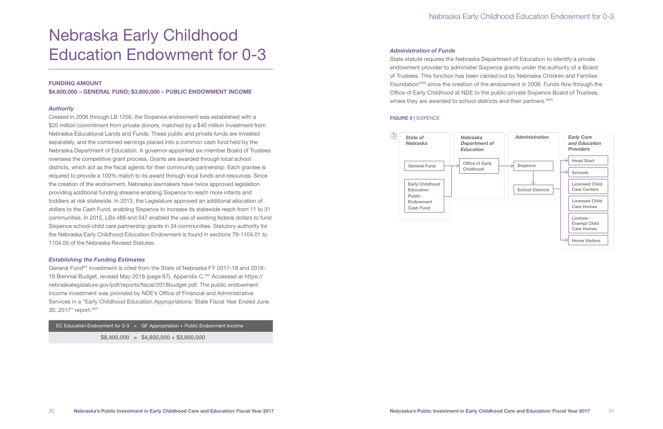# Nebraska Early Childhood Education Endowment for 0-3

#### FUNDING AMOUNT

\$4,800,000 – GENERAL FUND; \$3,600,000 – PUBLIC ENDOWMENT INCOME

#### *Authority*

Created in 2006 through LB 1256, the Sixpence endowment was established with a \$20 million commitment from private donors, matched by a \$40 million investment from Nebraska Educational Lands and Funds. These public and private funds are invested separately, and the combined earnings placed into a common cash fund held by the Nebraska Department of Education. A governor-appointed six-member Board of Trustees oversees the competitive grant process. Grants are awarded through local school districts, which act as the fiscal agents for their community partnership. Each grantee is required to provide a 100% match to its award through local funds and resources. Since the creation of the endowment, Nebraska lawmakers have twice approved legislation providing additional funding streams enabling Sixpence to reach more infants and toddlers at risk statewide. In 2013, the Legislature approved an additional allocation of dollars to the Cash Fund, enabling Sixpence to increase its statewide reach from 11 to 31 communities. In 2015, LBs 489 and 547 enabled the use of existing federal dollars to fund Sixpence school-child care partnership grants in 34 communities. Statutory authority for the Nebraska Early Childhood Education Endowment is found in sections 79-1104.01 to 1104.05 of the Nebraska Revised Statutes.

State statute requires the Nebraska Department of Education to identify a private endowment provider to administer Sixpence grants under the authority of a Board of Trustees. This function has been carried out by Nebraska Children and Families Foundation<sup>XXIII</sup> since the creation of the endowment in 2006. Funds flow through the Office of Early Childhood at NDE to the public-private Sixpence Board of Trustees, where they are awarded to school districts and their partners.<sup>xxiv</sup>

#### *Establishing the Funding Estimates*

General Fund<sup>xx</sup> investment is cited from the State of Nebraska FY 2017-18 and 2018-19 Biennial Budget, revised May 2018 (page 67), Appendix C.<sup>xxi</sup> Accessed at https:// nebraskalegislature.gov/pdf/reports/fiscal/2018budget.pdf. The public endowment income investment was provided by NDE's Office of Financial and Administrative Services in a "Early Childhood Education Appropriations: State Fiscal Year Ended June 30, 2017" report. XXII

EC Education Endowment for  $0-3 =$  GF Appropriation + Public Endowment Income  $$8,400,000 = $4,800,000 + $3,600,000$ 

#### *Administration of Funds*

#### FIGURE 9 | SIXPENCE



### Nebraska Early Childhood Education Endowment for 0-3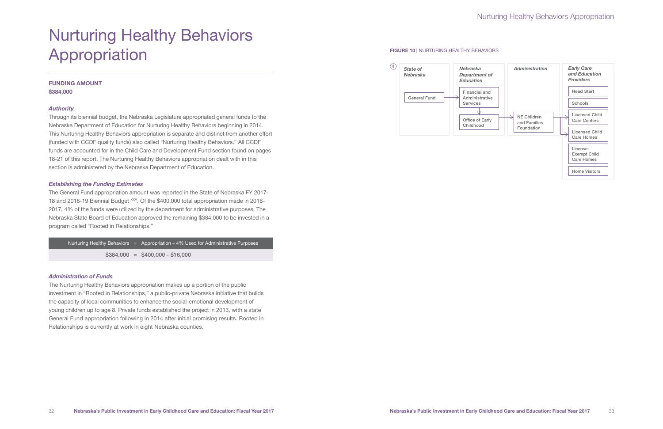# Nurturing Healthy Behaviors Appropriation

# Nurturing Healthy Behaviors Appropriation

### FUNDING AMOUNT \$384,000

### *Authority*

Through its biennial budget, the Nebraska Legislature appropriated general funds to the Nebraska Department of Education for Nurturing Healthy Behaviors beginning in 2014. This Nurturing Healthy Behaviors appropriation is separate and distinct from another effort (funded with CCDF quality funds) also called "Nurturing Healthy Behaviors." All CCDF funds are accounted for in the Child Care and Development Fund section found on pages 18-21 of this report. The Nurturing Healthy Behaviors appropriation dealt with in this section is administered by the Nebraska Department of Education.

#### *Establishing the Funding Estimates*



The General Fund appropriation amount was reported in the State of Nebraska FY 2017- 18 and 2018-19 Biennial Budget <sup>xxv</sup>. Of the \$400,000 total appropriation made in 2016-2017, 4% of the funds were utilized by the department for administrative purposes. The Nebraska State Board of Education approved the remaining \$384,000 to be invested in a program called "Rooted in Relationships."

Nurturing Healthy Behaviors  $=$  Appropriation – 4% Used for Administrative Purposes  $$384,000 = $400,000 - $16,000$ 

#### *Administration of Funds*

The Nurturing Healthy Behaviors appropriation makes up a portion of the public investment in "Rooted in Relationships," a public-private Nebraska initiative that builds the capacity of local communities to enhance the social-emotional development of young children up to age 8. Private funds established the project in 2013, with a state General Fund appropriation following in 2014 after initial promising results. Rooted in Relationships is currently at work in eight Nebraska counties.

#### FIGURE 10 | NURTURING HEALTHY BEHAVIORS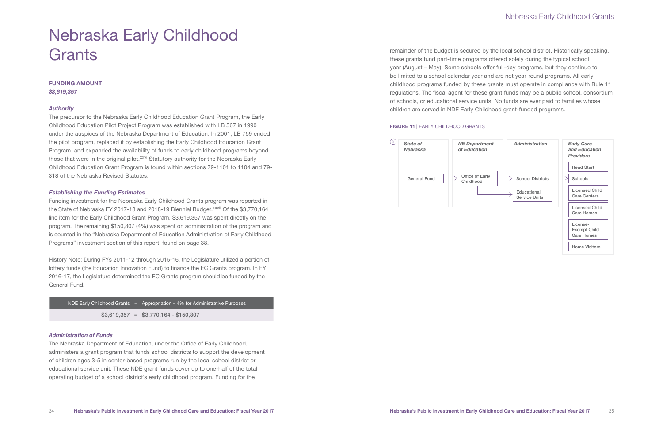# Nebraska Early Childhood **Grants**

### FUNDING AMOUNT *\$3,619,357*

#### *Authority*

The precursor to the Nebraska Early Childhood Education Grant Program, the Early Childhood Education Pilot Project Program was established with LB 567 in 1990 under the auspices of the Nebraska Department of Education. In 2001, LB 759 ended the pilot program, replaced it by establishing the Early Childhood Education Grant Program, and expanded the availability of funds to early childhood programs beyond those that were in the original pilot.<sup>xxvi</sup> Statutory authority for the Nebraska Early Childhood Education Grant Program is found within sections 79-1101 to 1104 and 79- 318 of the Nebraska Revised Statutes.

#### *Establishing the Funding Estimates*

Funding investment for the Nebraska Early Childhood Grants program was reported in the State of Nebraska FY 2017-18 and 2018-19 Biennial Budget.<sup>xxvii</sup> Of the \$3,770,164 line item for the Early Childhood Grant Program, \$3,619,357 was spent directly on the program. The remaining \$150,807 (4%) was spent on administration of the program and is counted in the "Nebraska Department of Education Administration of Early Childhood Programs" investment section of this report, found on page 38.

History Note: During FYs 2011-12 through 2015-16, the Legislature utilized a portion of lottery funds (the Education Innovation Fund) to finance the EC Grants program. In FY 2016-17, the Legislature determined the EC Grants program should be funded by the General Fund.

#### *Administration of Funds*

The Nebraska Department of Education, under the Office of Early Childhood, administers a grant program that funds school districts to support the development of children ages 3-5 in center-based programs run by the local school district or educational service unit. These NDE grant funds cover up to one-half of the total operating budget of a school district's early childhood program. Funding for the



remainder of the budget is secured by the local school district. Historically speaking, these grants fund part-time programs offered solely during the typical school year (August – May). Some schools offer full-day programs, but they continue to be limited to a school calendar year and are not year-round programs. All early childhood programs funded by these grants must operate in compliance with Rule 11 regulations. The fiscal agent for these grant funds may be a public school, consortium of schools, or educational service units. No funds are ever paid to families whose children are served in NDE Early Childhood grant-funded programs.

#### FIGURE 11 | EARLY CHILDHOOD GRANTS

## Nebraska Early Childhood Grants

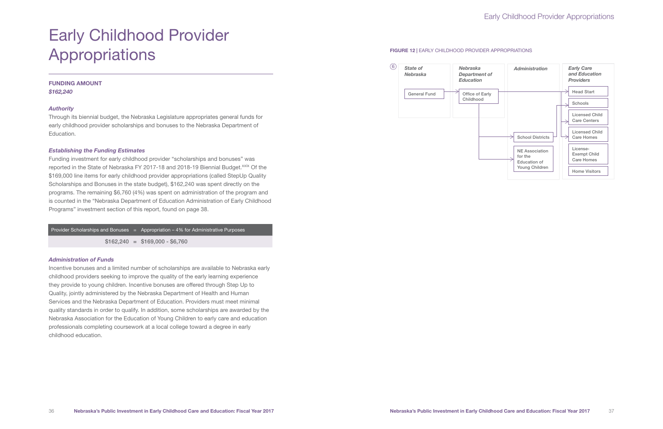# Early Childhood Provider Appropriations

### FUNDING AMOUNT *\$162,240*

#### *Authority*

Through its biennial budget, the Nebraska Legislature appropriates general funds for early childhood provider scholarships and bonuses to the Nebraska Department of Education.

#### *Establishing the Funding Estimates*

Funding investment for early childhood provider "scholarships and bonuses" was reported in the State of Nebraska FY 2017-18 and 2018-19 Biennial Budget.<sup>xxix</sup> Of the \$169,000 line items for early childhood provider appropriations (called StepUp Quality Scholarships and Bonuses in the state budget), \$162,240 was spent directly on the programs. The remaining \$6,760 (4%) was spent on administration of the program and is counted in the "Nebraska Department of Education Administration of Early Childhood Programs" investment section of this report, found on page 38.

# Provider Scholarships and Bonuses  $=$  Appropriation – 4% for Administrative Purposes  $$162,240 = $169,000 - $6,760$



#### *Administration of Funds*

Incentive bonuses and a limited number of scholarships are available to Nebraska early childhood providers seeking to improve the quality of the early learning experience they provide to young children. Incentive bonuses are offered through Step Up to Quality, jointly administered by the Nebraska Department of Health and Human Services and the Nebraska Department of Education. Providers must meet minimal quality standards in order to qualify. In addition, some scholarships are awarded by the Nebraska Association for the Education of Young Children to early care and education professionals completing coursework at a local college toward a degree in early childhood education.

#### FIGURE 12 | EARLY CHILDHOOD PROVIDER APPROPRIATIONS

# Early Childhood Provider Appropriations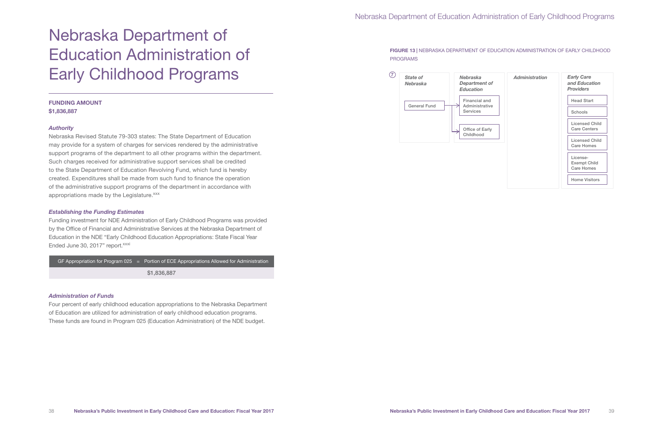Nebraska Revised Statute 79-303 states: The State Department of Education may provide for a system of charges for services rendered by the administrative support programs of the department to all other programs within the department. Such charges received for administrative support services shall be credited to the State Department of Education Revolving Fund, which fund is hereby created. Expenditures shall be made from such fund to finance the operation of the administrative support programs of the department in accordance with appropriations made by the Legislature.<sup>xxx</sup>

# Nebraska Department of Education Administration of Early Childhood Programs

#### FUNDING AMOUNT \$1,836,887

#### *Authority*

Funding investment for NDE Administration of Early Childhood Programs was provided by the Office of Financial and Administrative Services at the Nebraska Department of Education in the NDE "Early Childhood Education Appropriations: State Fiscal Year Ended June 30, 2017" report.<sup>xxxi</sup>

#### *Establishing the Funding Estimates*

#### *Administration of Funds*

Four percent of early childhood education appropriations to the Nebraska Department of Education are utilized for administration of early childhood education programs. These funds are found in Program 025 (Education Administration) of the NDE budget.

#### FIGURE 13 | NEBRASKA DEPARTMENT OF EDUCATION ADMINISTRATION OF EARLY CHILDHOOD

PROGRAMS

GF Approximation for Program 025 = Portion of ECE Approximations Allowed for Administration  
\n
$$
$1,836,887
$$

# Nebraska Department of Education Administration of Early Childhood Programs

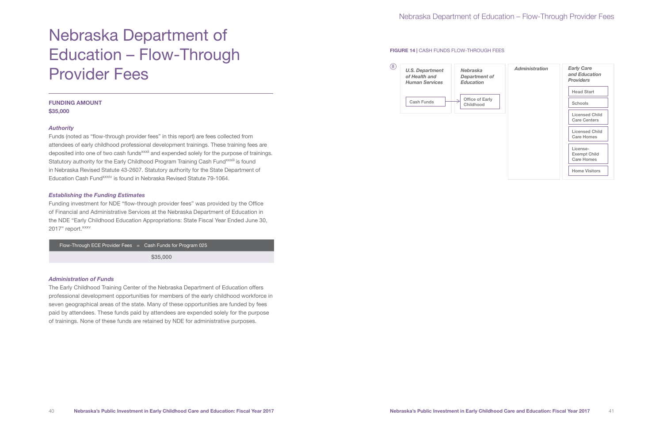Funds (noted as "flow-through provider fees" in this report) are fees collected from attendees of early childhood professional development trainings. These training fees are deposited into one of two cash funds<sup>xxxii</sup> and expended solely for the purpose of trainings. Statutory authority for the Early Childhood Program Training Cash Fund<sup>xxxiii</sup> is found in Nebraska Revised Statute 43-2607. Statutory authority for the State Department of Education Cash Fund<sup>xxxiv</sup> is found in Nebraska Revised Statute 79-1064.

# Nebraska Department of Education – Flow-Through Provider Fees

#### FUNDING AMOUNT \$35,000

#### *Authority*

Funding investment for NDE "flow-through provider fees" was provided by the Office of Financial and Administrative Services at the Nebraska Department of Education in the NDE "Early Childhood Education Appropriations: State Fiscal Year Ended June 30, 2017" report. XXXV

Flow-Through ECE Provider Fees = Cash Funds for Program 025

#### *Establishing the Funding Estimates*

#### *Administration of Funds*

The Early Childhood Training Center of the Nebraska Department of Education offers professional development opportunities for members of the early childhood workforce in seven geographical areas of the state. Many of these opportunities are funded by fees paid by attendees. These funds paid by attendees are expended solely for the purpose of trainings. None of these funds are retained by NDE for administrative purposes.

\$35,000

### FIGURE 14 | CASH FUNDS FLOW-THROUGH FEES

# Nebraska Department of Education – Flow-Through Provider Fees

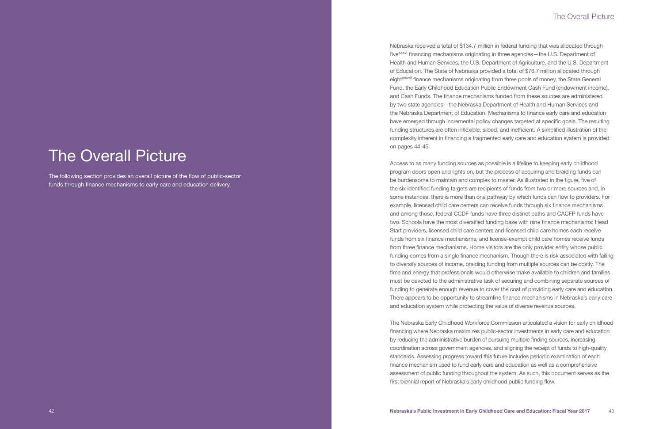# **The Overall Picture**

The following section provides an overall picture of the flow of public-sector funds through finance mechanisms to early care and education delivery.

### The Overall Picture

Nebraska received a total of \$134.7 million in federal funding that was allocated through five<sup>xxxvi</sup> financing mechanisms originating in three agencies—the U.S. Department of Health and Human Services, the U.S. Department of Agriculture, and the U.S. Department of Education. The State of Nebraska provided a total of \$76.7 million allocated through eight<sup>xxxvii</sup> finance mechanisms originating from three pools of money, the State General Fund, the Early Childhood Education Public Endowment Cash Fund (endowment income), and Cash Funds. The finance mechanisms funded from these sources are administered by two state agencies—the Nebraska Department of Health and Human Services and the Nebraska Department of Education. Mechanisms to finance early care and education have emerged through incremental policy changes targeted at specific goals. The resulting funding structures are often inflexible, siloed, and inefficient. A simplified illustration of the complexity inherent in financing a fragmented early care and education system is provided on pages 44-45.

Access to as many funding sources as possible is a lifeline to keeping early childhood program doors open and lights on, but the process of acquiring and braiding funds can be burdensome to maintain and complex to master. As illustrated in the figure, five of the six identified funding targets are recipients of funds from two or more sources and, in some instances, there is more than one pathway by which funds can flow to providers. For example, licensed child care centers can receive funds through six finance mechanisms and among those, federal CCDF funds have three distinct paths and CACFP funds have two. Schools have the most diversified funding base with nine finance mechanisms: Head Start providers, licensed child care centers and licensed child care homes each receive funds from six finance mechanisms, and license-exempt child care homes receive funds from three finance mechanisms. Home visitors are the only provider entity whose public funding comes from a single finance mechanism. Though there is risk associated with failing to diversify sources of income, braiding funding from multiple sources can be costly. The time and energy that professionals would otherwise make available to children and families must be devoted to the administrative task of securing and combining separate sources of funding to generate enough revenue to cover the cost of providing early care and education. There appears to be opportunity to streamline finance mechanisms in Nebraska's early care and education system while protecting the value of diverse revenue sources.

The Nebraska Early Childhood Workforce Commission articulated a vision for early childhood financing where Nebraska maximizes public-sector investments in early care and education by reducing the administrative burden of pursuing multiple finding sources, increasing coordination across government agencies, and aligning the receipt of funds to high-quality standards. Assessing progress toward this future includes periodic examination of each finance mechanism used to fund early care and education as well as a comprehensive assessment of public funding throughout the system. As such, this document serves as the first biennial report of Nebraska's early childhood public funding flow.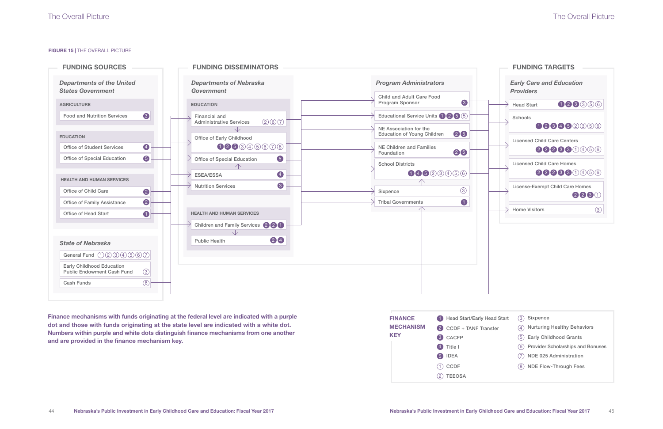#### FIGURE 15 | THE OVERALL PICTURE



| <b>Early Care and Education</b><br><b>Providers</b> |            |        |
|-----------------------------------------------------|------------|--------|
| <b>Head Start</b>                                   |            | 123356 |
| Schools                                             | 128452356  |        |
| <b>Licensed Child Care Centers</b>                  | 222330456  |        |
| <b>Licensed Child Care Homes</b>                    | 2223300456 |        |
| <b>License-Exempt Child Care Homes</b>              |            | 223(1) |
| <b>Home Visitors</b>                                |            | 3      |

| ead Start | Sixpence<br>(3)                                      |
|-----------|------------------------------------------------------|
| າsfer     | <b>Nurturing Healthy Behaviors</b><br>$\overline{4}$ |
|           | (5) Early Childhood Grants                           |
|           | <b>Provider Scholarships and Bonuses</b><br>(6)      |
|           | NDE 025 Administration<br>(7)                        |
|           | <b>NDE Flow-Through Fees</b><br>8)                   |
|           |                                                      |

# The Overall Picture



Finance mechanisms with funds originating at the federal level are indicated with a purple dot and those with funds originating at the state level are indicated with a white dot. Numbers within purple and white dots distinguish finance mechanisms from one another and are provided in the finance mechanism key.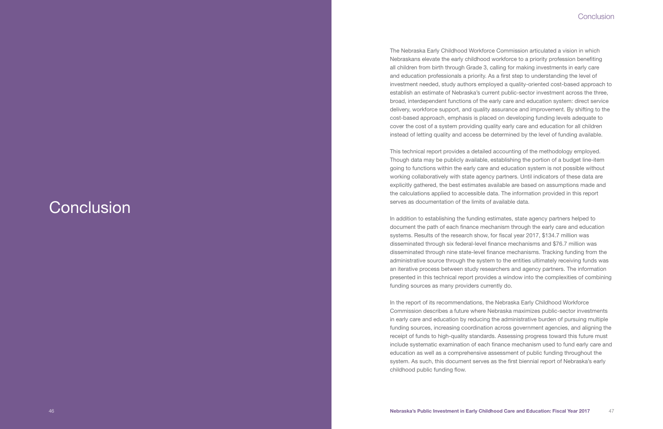# **Conclusion**

The Nebraska Early Childhood Workforce Commission articulated a vision in which Nebraskans elevate the early childhood workforce to a priority profession benefiting all children from birth through Grade 3, calling for making investments in early care and education professionals a priority. As a first step to understanding the level of investment needed, study authors employed a quality-oriented cost-based approach to establish an estimate of Nebraska's current public-sector investment across the three, broad, interdependent functions of the early care and education system: direct service delivery, workforce support, and quality assurance and improvement. By shifting to the cost-based approach, emphasis is placed on developing funding levels adequate to cover the cost of a system providing quality early care and education for all children instead of letting quality and access be determined by the level of funding available.

This technical report provides a detailed accounting of the methodology employed. Though data may be publicly available, establishing the portion of a budget line-item going to functions within the early care and education system is not possible without working collaboratively with state agency partners. Until indicators of these data are explicitly gathered, the best estimates available are based on assumptions made and the calculations applied to accessible data. The information provided in this report serves as documentation of the limits of available data.

In addition to establishing the funding estimates, state agency partners helped to document the path of each finance mechanism through the early care and education systems. Results of the research show, for fiscal year 2017, \$134.7 million was disseminated through six federal-level finance mechanisms and \$76.7 million was disseminated through nine state-level finance mechanisms. Tracking funding from the administrative source through the system to the entities ultimately receiving funds was an iterative process between study researchers and agency partners. The information presented in this technical report provides a window into the complexities of combining funding sources as many providers currently do.

In the report of its recommendations, the Nebraska Early Childhood Workforce Commission describes a future where Nebraska maximizes public-sector investments in early care and education by reducing the administrative burden of pursuing multiple funding sources, increasing coordination across government agencies, and aligning the receipt of funds to high-quality standards. Assessing progress toward this future must include systematic examination of each finance mechanism used to fund early care and education as well as a comprehensive assessment of public funding throughout the system. As such, this document serves as the first biennial report of Nebraska's early childhood public funding flow.

### Conclusion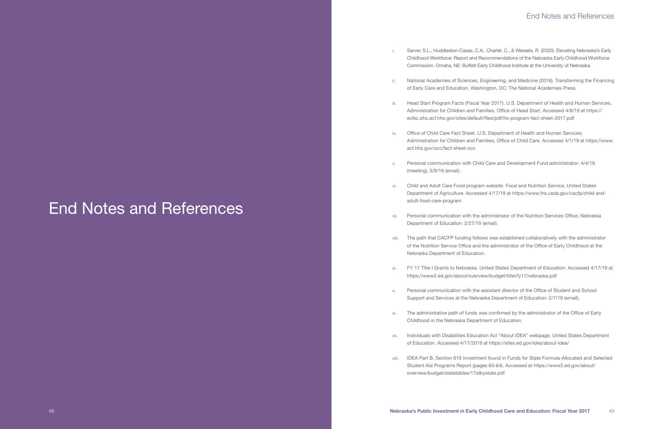i. Sarver, S.L., Huddleston-Casas, C.A., Charlet, C., & Wessels, R. (2020). Elevating Nebraska's Early Childhood Workforce: Report and Recommendations of the Nebraska Early Childhood Workforce Commission. Omaha, NE: Buffett Early Childhood Institute at the University of Nebraska.

ii. National Academies of Sciences, Engineering, and Medicine (2018). Transforming the Financing of Early Care and Education. Washington, DC: The National Academies Press.

iii. Head Start Program Facts (Fiscal Year 2017). U.S. Department of Health and Human Services, Administration for Children and Families, Office of Head Start. Accessed 4/8/19 at https:// eclkc.ohs.acf.hhs.gov/sites/default/files/pdf/hs-program-fact-sheet-2017.pdf

iv. Office of Child Care Fact Sheet. U.S. Department of Health and Human Services, Administration for Children and Families, Office of Child Care. Accessed 4/1/19 at https://www.

v. Personal communication with Child Care and Development Fund administrator: 4/4/19

vi. Child and Adult Care Food program website. Food and Nutrition Service, United States Department of Agriculture. Accessed 4/17/19 at https://www.fns.usda.gov/cacfp/child-and-

vii. Personal communication with the administrator of the Nutrition Services Office, Nebraska

viii. The path that CACFP funding follows was established collaboratively with the administrator of the Nutrition Service Office and the administrator of the Office of Early Childhood at the

ix. FY 17 Title I Grants to Nebraska. United States Department of Education. Accessed 4/17/19 at

- 
- 
- 
- acf.hhs.gov/occ/fact-sheet-occ
- (meeting), 5/9/19 (email).
- adult-food-care-program
- Department of Education: 2/27/19 (email).
- Nebraska Department of Education.
- https://www2.ed.gov/about/overview/budget/titlei/fy17/nebraska.pdf
- 
- Childhood in the Nebraska Department of Education.
- 
- overview/budget/statetables/17stbystate.pdf

x. Personal communication with the assistant director of the Office of Student and School Support and Services at the Nebraska Department of Education: 2/7/19 (email).

xi. The administrative path of funds was confirmed by the administrator of the Office of Early

xii. Individuals with Disabilities Education Act "About IDEA" webpage. United States Department of Education. Accessed 4/17/2019 at https://sites.ed.gov/idea/about-idea/

xiii. IDEA Part B, Section 619 investment found in Funds for State Formula-Allocated and Selected Student Aid Programs Report (pages 63-64). Accessed at https://www2.ed.gov/about/

# End Notes and References

## End Notes and References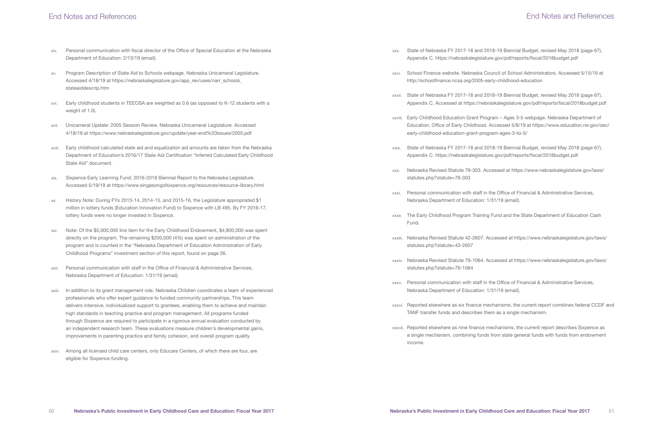### End Notes and References

xxv. State of Nebraska FY 2017-18 and 2018-19 Biennial Budget, revised May 2018 (page 67), Appendix C. https://nebraskalegislature.gov/pdf/reports/fiscal/2018budget.pdf

xxvi. School Finance website. Nebraska Council of School Administrators. Accessed 5/15/19 at

xxvii. State of Nebraska FY 2017-18 and 2018-19 Biennial Budget, revised May 2018 (page 67), Appendix C. Accessed at https://nebraskalegislature.gov/pdf/reports/fiscal/2018budget.pdf

xxviii. Early Childhood Education Grant Program – Ages 3-5 webpage. Nebraska Department of Education, Office of Early Childhood. Accessed 5/8/19 at https://www.education.ne.gov/oec/

xxix. State of Nebraska FY 2017-18 and 2018-19 Biennial Budget, revised May 2018 (page 67), Appendix C. https://nebraskalegislature.gov/pdf/reports/fiscal/2018budget.pdf

xxx. Nebraska Revised Statute 79-303. Accessed at https://www.nebraskalegislature.gov/laws/

xxxi. Personal communication with staff in the Office of Financial & Administrative Services,

- 
- http://schoolfinance.ncsa.org/2005-early-childhood-education
- 
- early-childhood-education-grant-program-ages-3-to-5/
- 
- statutes.php?statute=79-303
- Nebraska Department of Education: 1/31/19 (email).
- Fund.
- statutes.php?statute=43-2607
- statutes.php?statute=79-1064
- Nebraska Department of Education: 1/31/19 (email).
- TANF transfer funds and describes them as a single mechanism.
- income.

xxxii. The Early Childhood Program Training Fund and the State Department of Education Cash

xxxiii. Nebraska Revised Statute 42-2607. Accessed at https://www.nebraskalegislature.gov/laws/

xxxiv. Nebraska Revised Statute 79-1064. Accessed at https://www.nebraskalegislature.gov/laws/

xxxv. Personal communication with staff in the Office of Financial & Administrative Services,

xxxvi. Reported elsewhere as six finance mechanisms, the current report combines federal CCDF and

xxxvii. Reported elsewhere as nine finance mechanisms, the current report describes Sixpence as a single mechanism, combining funds from state general funds with funds from endowment

- xiv. Personal communication with fiscal director of the Office of Special Education at the Nebraska Department of Education: 2/13/19 (email).
- xv. Program Description of State Aid to Schools webpage. Nebraska Unicameral Legislature. Accessed 4/18/19 at https://nebraskalegislature.gov/app\_rev/uses/narr\_schools\_ stateaiddescrip.htm
- xvi. Early childhood students in TEEOSA are weighted as 0.6 (as opposed to K-12 students with a weight of 1.0).
- xvii. Unicameral Update: 2005 Session Review. Nebraska Unicameral Legislature. Accessed 4/18/19 at https://www.nebraskalegislature.gov/update/year-end%20issues/2005.pdf
- xviii. Early childhood calculated state aid and equalization aid amounts are taken from the Nebraska Department of Education's 2016/17 State Aid Certification "Inferred Calculated Early Childhood State Aid" document.
- xix. Sixpence Early Learning Fund, 2016-2018 Biennial Report to the Nebraska Legislature. Accessed 5/19/19 at https://www.singasongofsixpence.org/resources/resource-library.html
- xx. History Note: During FYs 2013-14, 2014-15, and 2015-16, the Legislature appropriated \$1 million in lottery funds (Education Innovation Fund) to Sixpence with LB 495. By FY 2016-17, lottery funds were no longer invested in Sixpence.
- xxi. Note: Of the \$5,000,000 line item for the Early Childhood Endowment, \$4,800,000 was spent directly on the program. The remaining \$200,000 (4%) was spent on administration of the program and is counted in the "Nebraska Department of Education Administration of Early Childhood Programs" investment section of this report, found on page 26.
- xxii. Personal communication with staff in the Office of Financial & Administrative Services, Nebraska Department of Education: 1/31/19 (email).
- xxiii. In addition to its grant management role, Nebraska Children coordinates a team of experienced professionals who offer expert guidance to funded community partnerships. This team delivers intensive, individualized support to grantees, enabling them to achieve and maintain high standards in teaching practice and program management. All programs funded through Sixpence are required to participate in a rigorous annual evaluation conducted by an independent research team. These evaluations measure children's developmental gains, improvements in parenting practice and family cohesion, and overall program quality.
- xxiv. Among all licensed child care centers, only Educare Centers, of which there are four, are eligible for Sixpence funding.

## End Notes and References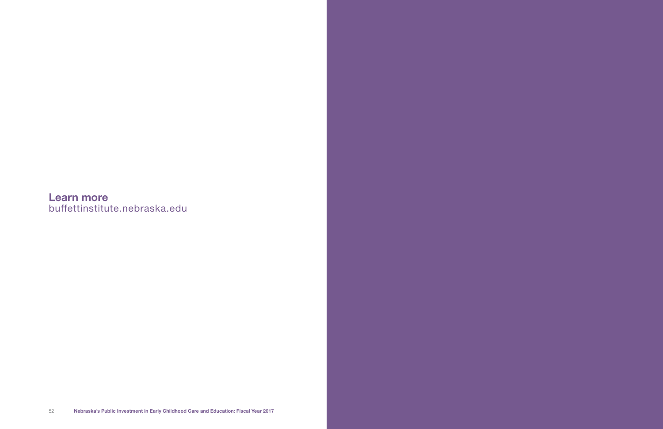Learn more buffettinstitute.nebraska.edu